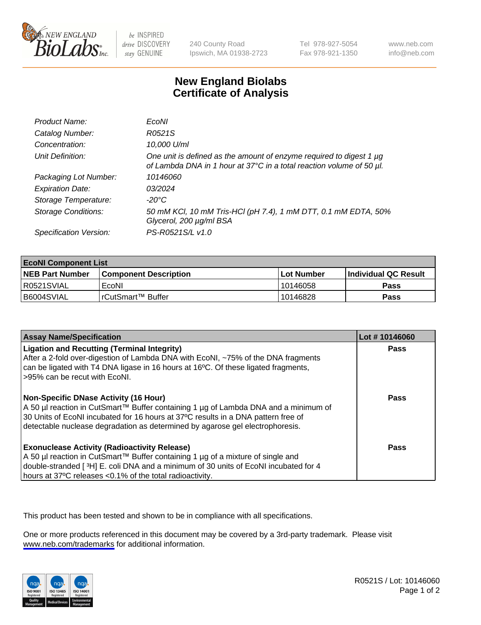

be INSPIRED drive DISCOVERY stay GENUINE

240 County Road Ipswich, MA 01938-2723 Tel 978-927-5054 Fax 978-921-1350

www.neb.com info@neb.com

## **New England Biolabs Certificate of Analysis**

| Product Name:              | EcoNI                                                                                                                                       |
|----------------------------|---------------------------------------------------------------------------------------------------------------------------------------------|
| Catalog Number:            | R0521S                                                                                                                                      |
| Concentration:             | 10,000 U/ml                                                                                                                                 |
| Unit Definition:           | One unit is defined as the amount of enzyme required to digest 1 µg<br>of Lambda DNA in 1 hour at 37°C in a total reaction volume of 50 µl. |
| Packaging Lot Number:      | 10146060                                                                                                                                    |
| <b>Expiration Date:</b>    | 03/2024                                                                                                                                     |
| Storage Temperature:       | -20°C                                                                                                                                       |
| <b>Storage Conditions:</b> | 50 mM KCl, 10 mM Tris-HCl (pH 7.4), 1 mM DTT, 0.1 mM EDTA, 50%<br>Glycerol, 200 µg/ml BSA                                                   |
| Specification Version:     | PS-R0521S/L v1.0                                                                                                                            |

| <b>EcoNI Component List</b> |                         |              |                             |  |
|-----------------------------|-------------------------|--------------|-----------------------------|--|
| <b>NEB Part Number</b>      | l Component Description | l Lot Number | <b>Individual QC Result</b> |  |
| R0521SVIAL                  | EcoNI                   | 10146058     | Pass                        |  |
| B6004SVIAL                  | l rCutSmart™ Buffer     | 10146828     | Pass                        |  |

| <b>Assay Name/Specification</b>                                                                                                                                                                                                                                                                      | Lot #10146060 |
|------------------------------------------------------------------------------------------------------------------------------------------------------------------------------------------------------------------------------------------------------------------------------------------------------|---------------|
| <b>Ligation and Recutting (Terminal Integrity)</b><br>After a 2-fold over-digestion of Lambda DNA with EcoNI, ~75% of the DNA fragments<br>can be ligated with T4 DNA ligase in 16 hours at 16 <sup>o</sup> C. Of these ligated fragments,<br>-95% can be recut with EcoNI.                          | Pass          |
| Non-Specific DNase Activity (16 Hour)<br>  A 50 µl reaction in CutSmart™ Buffer containing 1 µg of Lambda DNA and a minimum of<br>30 Units of EcoNI incubated for 16 hours at 37°C results in a DNA pattern free of<br>detectable nuclease degradation as determined by agarose gel electrophoresis. | Pass          |
| <b>Exonuclease Activity (Radioactivity Release)</b><br>A 50 µl reaction in CutSmart™ Buffer containing 1 µg of a mixture of single and<br>double-stranded [3H] E. coli DNA and a minimum of 30 units of EcoNI incubated for 4<br>hours at 37°C releases <0.1% of the total radioactivity.            | <b>Pass</b>   |

This product has been tested and shown to be in compliance with all specifications.

One or more products referenced in this document may be covered by a 3rd-party trademark. Please visit <www.neb.com/trademarks>for additional information.